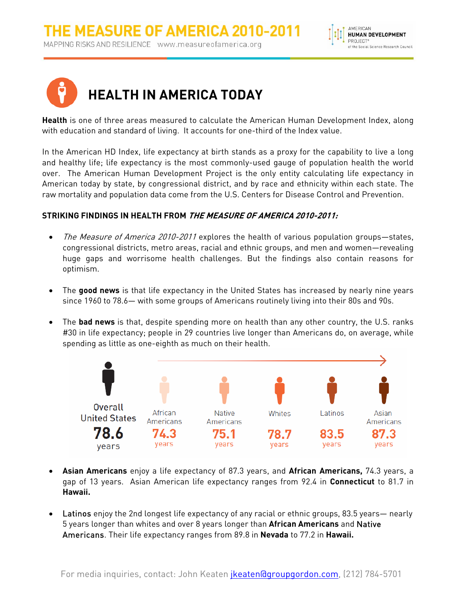



**Health** is one of three areas measured to calculate the American Human Development Index, along with education and standard of living. It accounts for one-third of the Index value.

In the American HD Index, life expectancy at birth stands as a proxy for the capability to live a long and healthy life; life expectancy is the most commonly-used gauge of population health the world over. The American Human Development Project is the only entity calculating life expectancy in American today by state, by congressional district, and by race and ethnicity within each state. The raw mortality and population data come from the U.S. Centers for Disease Control and Prevention.

## **STRIKING FINDINGS IN HEALTH FROM THE MEASURE OF AMERICA 2010-2011:**

- The Measure of America 2010-2011 explores the health of various population groups-states, congressional districts, metro areas, racial and ethnic groups, and men and women—revealing huge gaps and worrisome health challenges. But the findings also contain reasons for optimism.
- The **good news** is that life expectancy in the United States has increased by nearly nine years since 1960 to 78.6— with some groups of Americans routinely living into their 80s and 90s.
- The **bad news** is that, despite spending more on health than any other country, the U.S. ranks #30 in life expectancy; people in 29 countries live longer than Americans do, on average, while spending as little as one-eighth as much on their health.



- **Asian Americans** enjoy a life expectancy of 87.3 years, and **African Americans,** 74.3 years, a gap of 13 years. Asian American life expectancy ranges from 92.4 in **Connecticut** to 81.7 in **Hawaii.**
- Latinos enjoy the 2nd longest life expectancy of any racial or ethnic groups, 83.5 years— nearly 5 years longer than whites and over 8 years longer than **African Americans** and Native Americans. Their life expectancy ranges from 89.8 in **Nevada** to 77.2 in **Hawaii.**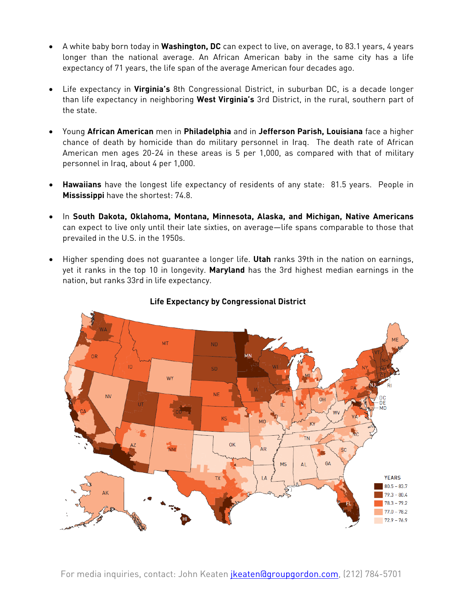- A white baby born today in **Washington, DC** can expect to live, on average, to 83.1 years, 4 years longer than the national average. An African American baby in the same city has a life expectancy of 71 years, the life span of the average American four decades ago.
- Life expectancy in **Virginia's** 8th Congressional District, in suburban DC, is a decade longer than life expectancy in neighboring **West Virginia's** 3rd District, in the rural, southern part of the state.
- Young **African American** men in **Philadelphia** and in **Jefferson Parish, Louisiana** face a higher chance of death by homicide than do military personnel in Iraq. The death rate of African American men ages 20-24 in these areas is 5 per 1,000, as compared with that of military personnel in Iraq, about 4 per 1,000.
- **Hawaiians** have the longest life expectancy of residents of any state: 81.5 years. People in **Mississippi** have the shortest: 74.8.
- In **South Dakota, Oklahoma, Montana, Minnesota, Alaska, and Michigan, Native Americans** can expect to live only until their late sixties, on average—life spans comparable to those that prevailed in the U.S. in the 1950s.
- Higher spending does not guarantee a longer life. **Utah** ranks 39th in the nation on earnings, yet it ranks in the top 10 in longevity. **Maryland** has the 3rd highest median earnings in the nation, but ranks 33rd in life expectancy.



## **Life Expectancy by Congressional District**

For media inquiries, contact: John Keaten <mark>jkeaten@groupgordon.com</mark>, (212) 784-5701